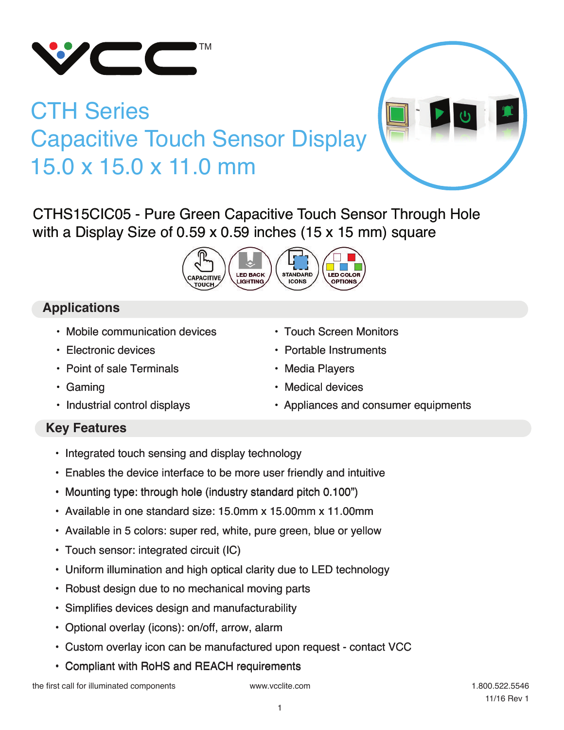

# CTH Series Capacitive Touch Sensor Display 15.0 x 15.0 x 11.0 mm



CTHS15CIC05 - Pure Green Capacitive Touch Sensor Through Hole with a Display Size of 0.59 x 0.59 inches (15 x 15 mm) square



# **Applications**

- Mobile communication devices
- Electronic devices
- Point of sale Terminals
- Gaming
- Industrial control displays
- Touch Screen Monitors
- Portable Instruments
- Media Players
- Medical devices
- Appliances and consumer equipments

#### **Key Features**

- Integrated touch sensing and display technology
- Enables the device interface to be more user friendly and intuitive
- Mounting type: through hole (industry standard pitch 0.100")
- Available in one standard size: 15.0mm x 15.00mm x 11.00mm
- Available in 5 colors: super red, white, pure green, blue or yellow
- Touch sensor: integrated circuit (IC)
- Uniform illumination and high optical clarity due to LED technology
- Robust design due to no mechanical moving parts
- Simplifies devices design and manufacturability
- Optional overlay (icons): on/off, arrow, alarm
- Custom overlay icon can be manufactured upon request contact VCC
- Compliant with RoHS and REACH requirements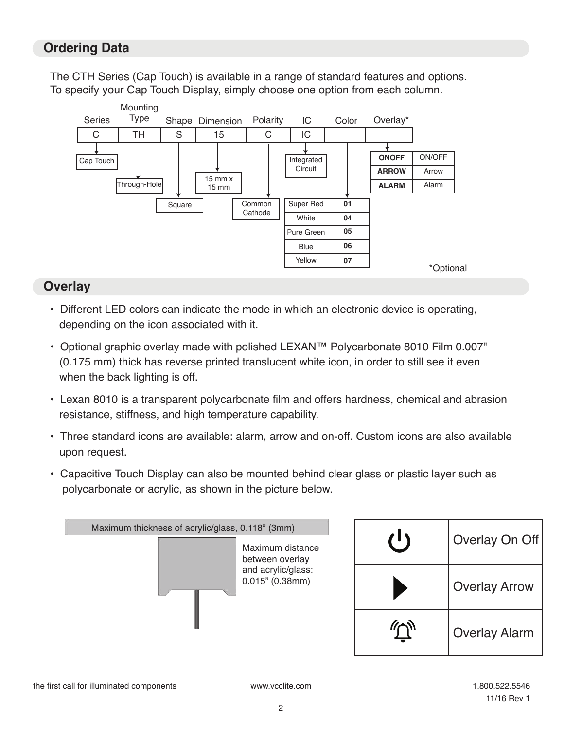### **Ordering Data**

The CTH Series (Cap Touch) is available in a range of standard features and options. To specify your Cap Touch Display, simply choose one option from each column.



#### **Overlay**

- Different LED colors can indicate the mode in which an electronic device is operating, depending on the icon associated with it.
- Optional graphic overlay made with polished LEXAN™ Polycarbonate 8010 Film 0.007" (0.175 mm) thick has reverse printed translucent white icon, in order to still see it even when the back lighting is off.
- Lexan 8010 is a transparent polycarbonate film and offers hardness, chemical and abrasion resistance, stiffness, and high temperature capability.
- Three standard icons are available: alarm, arrow and on-off. Custom icons are also available upon request.
- Capacitive Touch Display can also be mounted behind clear glass or plastic layer such as polycarbonate or acrylic, as shown in the picture below.

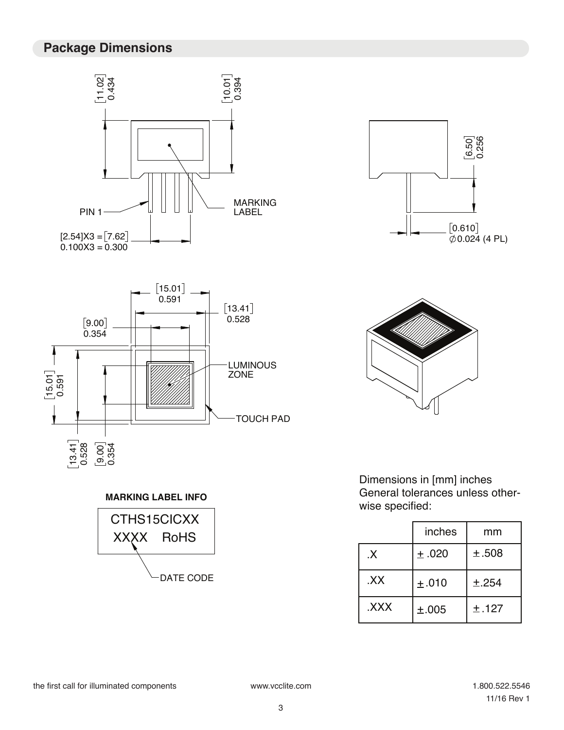# **Package Dimensions**













Dimensions in [mm] inches General tolerances unless otherwise specified:

| <b>UIUAA</b><br><b>RoHS</b> |              | inches | mm    |
|-----------------------------|--------------|--------|-------|
|                             | $\mathsf{X}$ | ±.020  | ±.508 |
| DATE CODE                   | .XX          | ±.010  | ±.254 |
|                             | XXX.         | ±.005  | ±.127 |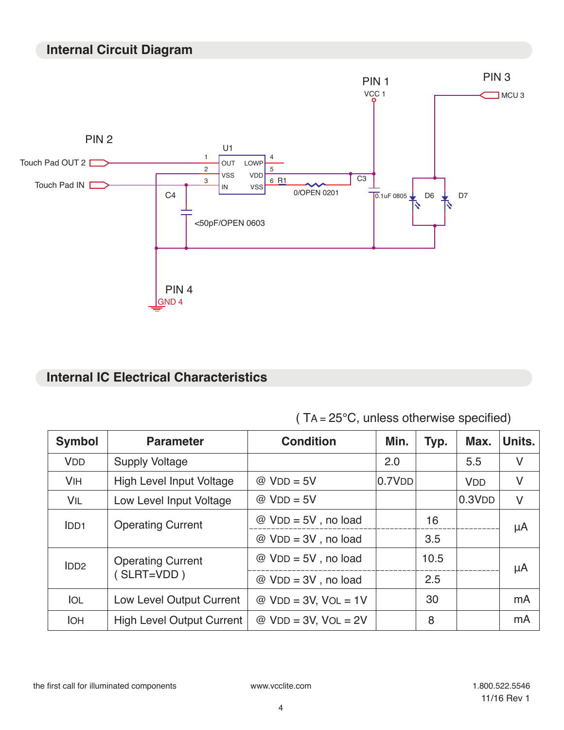#### **Internal Circuit Diagram**



## **Internal IC Electrical Characteristics**

| <b>Symbol</b>    | <b>Parameter</b>                 | <b>Condition</b>                    | Min.   | Typ. | Max.       | Units. |
|------------------|----------------------------------|-------------------------------------|--------|------|------------|--------|
| <b>VDD</b>       | <b>Supply Voltage</b>            |                                     | 2.0    |      | 5.5        | V      |
| <b>VIH</b>       | <b>High Level Input Voltage</b>  | $@$ VDD = 5V                        | 0.7VDD |      | <b>VDD</b> | V      |
| VIL              | Low Level Input Voltage          | $@$ VDD = 5V                        |        |      | 0.3VDD     | V      |
| IDD <sub>1</sub> | <b>Operating Current</b>         | $@$ VDD = 5V, no load               |        | 16   |            | μA     |
|                  |                                  | $@$ VDD = 3V, no load               |        | 3.5  |            |        |
| IDD <sub>2</sub> | <b>Operating Current</b>         | $@$ VDD = 5V, no load               |        | 10.5 |            | μA     |
|                  | $(SLRT=VDD)$                     | $@$ V <sub>D</sub> $= 3V$ , no load |        | 2.5  |            |        |
| <b>IOL</b>       | Low Level Output Current         | $@$ VDD = 3V, VOL = 1V              |        | 30   |            | mA     |
| <b>IOH</b>       | <b>High Level Output Current</b> | $@$ VDD = 3V, VOL = 2V              |        | 8    |            | mA     |

( TA = 25°C, unless otherwise specified)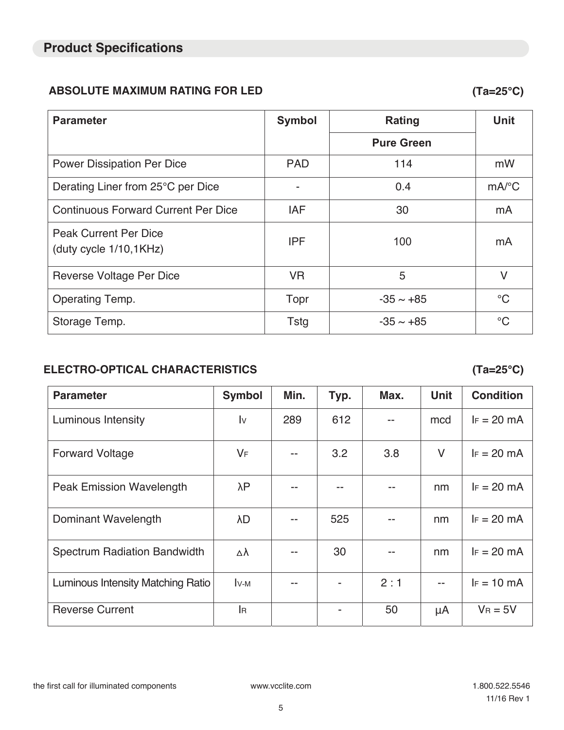#### **ABSOLUTE MAXIMUM RATING FOR LED (Ta=25°C)**

| <b>Parameter</b>                                       | <b>Symbol</b> | <b>Rating</b>     | <b>Unit</b>           |
|--------------------------------------------------------|---------------|-------------------|-----------------------|
|                                                        |               | <b>Pure Green</b> |                       |
| <b>Power Dissipation Per Dice</b>                      | <b>PAD</b>    | 114               | mW                    |
| Derating Liner from 25°C per Dice                      |               | 0.4               | $mA$ <sup>o</sup> $C$ |
| <b>Continuous Forward Current Per Dice</b>             | <b>IAF</b>    | 30                | mA                    |
| <b>Peak Current Per Dice</b><br>(duty cycle 1/10,1KHz) | <b>IPF</b>    | 100               | mA                    |
| Reverse Voltage Per Dice                               | <b>VR</b>     | 5                 | $\vee$                |
| Operating Temp.                                        | Topr          | $-35 \sim +85$    | $\rm ^{\circ}C$       |
| Storage Temp.                                          | <b>Tstg</b>   | $-35 \sim +85$    | $\rm ^{\circ}C$       |

#### **ELECTRO-OPTICAL CHARACTERISTICS (Ta=25°C)**

**Parameter Symbol Min. Typ. Max. Unit Condition** Luminous Intensity  $\vert$  Iv  $\vert$  289 | 612 | -- | mcd | IF = 20 mA Forward Voltage  $V = \begin{vmatrix} V_F & | & -1 & | & 3.2 & | & 3.8 & | & V | & | & F = 20 \end{vmatrix}$  The  $V = \begin{vmatrix} V_F & | & V_F & | & F = 20 \end{vmatrix}$ Peak Emission Wavelength  $\lambda P$  -- - - - - - nm | F = 20 mA Dominant Wavelength λD λ -- | 525 | -- | nm | IF = 20 mA Spectrum Radiation Bandwidth  $\begin{vmatrix} \Delta \lambda & | & -1 \\ 30 & | & -1 \end{vmatrix}$  nm  $\begin{vmatrix} F = 20 \text{ mA} \\ 0 & -1 \end{vmatrix}$ Luminous Intensity Matching Ratio  $|$  Iv- $\mathsf{M}$   $|$  --  $|$  -  $|$  2:1  $|$  --  $|$  IF = 10 mA Reverse Current  $\vert$  IR  $\vert$  - 50  $\vert$   $\mu$ A  $\vert$  VR = 5V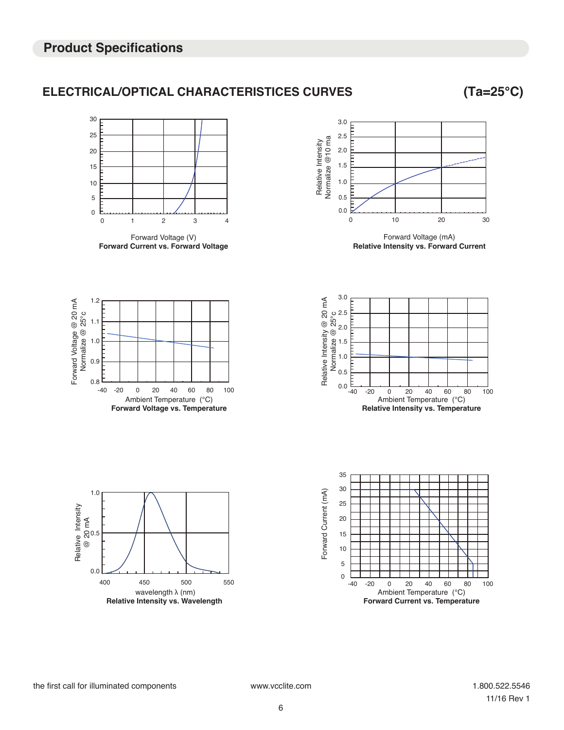#### **ELECTRICAL/OPTICAL CHARACTERISTICES CURVES (Ta=25°C)**

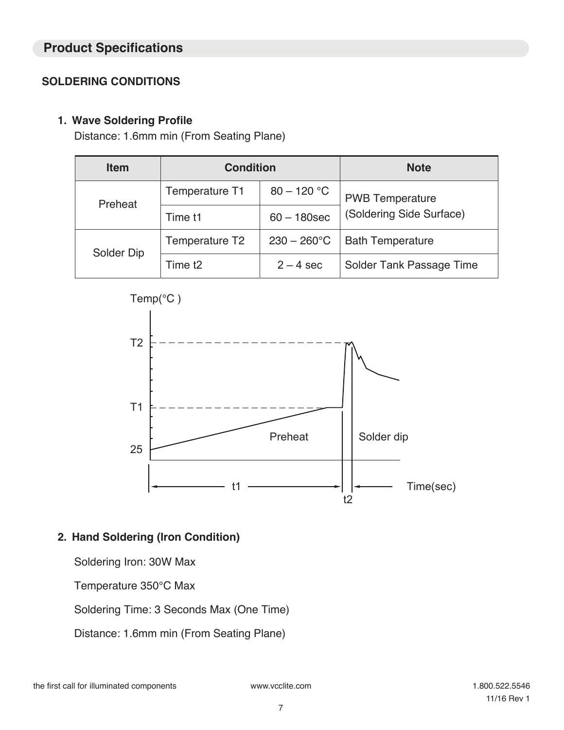#### **Product Specifications**

#### **SOLDERING CONDITIONS**

#### **1. Wave Soldering Profile**

Distance: 1.6mm min (From Seating Plane)

| <b>Item</b> | <b>Condition</b>   |                      | <b>Note</b>              |  |
|-------------|--------------------|----------------------|--------------------------|--|
| Preheat     | Temperature T1     | $80 - 120 °C$        | <b>PWB</b> Temperature   |  |
|             | Time t1            | $60 - 180$ sec       | (Soldering Side Surface) |  |
| Solder Dip  | Temperature T2     | $230 - 260^{\circ}C$ | <b>Bath Temperature</b>  |  |
|             | Time <sub>t2</sub> | $2 - 4$ sec          | Solder Tank Passage Time |  |



#### **2. Hand Soldering (Iron Condition)**

Soldering Iron: 30W Max

Temperature 350°C Max

Soldering Time: 3 Seconds Max (One Time)

Distance: 1.6mm min (From Seating Plane)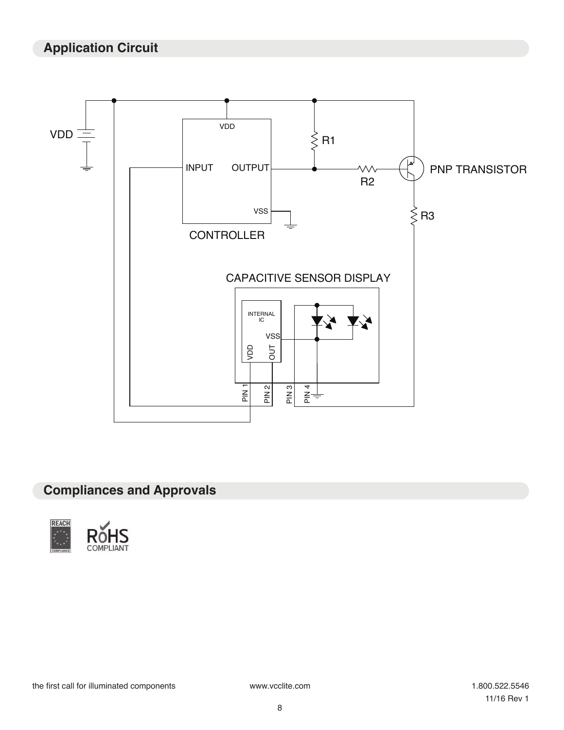# **Application Circuit**



# **Compliances and Approvals**